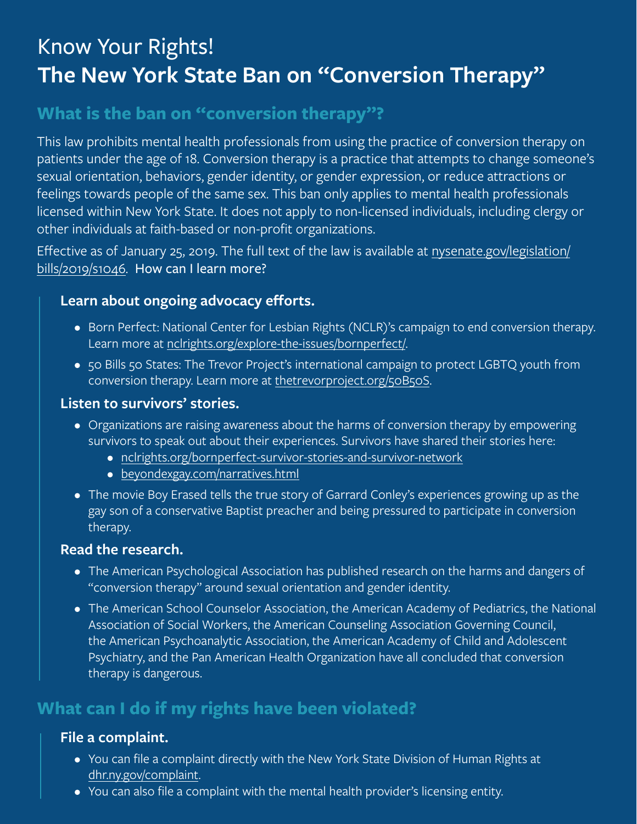# Know Your Rights! **The New York State Ban on "Conversion Therapy"**

# **What is the ban on "conversion therapy"?**

This law prohibits mental health professionals from using the practice of conversion therapy on patients under the age of 18. Conversion therapy is a practice that attempts to change someone's sexual orientation, behaviors, gender identity, or gender expression, or reduce attractions or feelings towards people of the same sex. This ban only applies to mental health professionals licensed within New York State. It does not apply to non-licensed individuals, including clergy or other individuals at faith-based or non-profit organizations.

Effective as of January 25, 2019. The full text of the law is available at [nysenate.gov/legislation/](http://nysenate.gov/legislation/bills/2019/s1046) [bills/2019/s1046.](http://nysenate.gov/legislation/bills/2019/s1046) How can I learn more?

#### **Learn about ongoing advocacy efforts.**

- Born Perfect: National Center for Lesbian Rights (NCLR)'s campaign to end conversion therapy. Learn more at [nclrights.org/explore-the-issues/bornperfect/.](http://nclrights.org/explore-the-issues/bornperfect/)
- 50 Bills 50 States: The Trevor Project's international campaign to protect LGBTQ youth from conversion therapy. Learn more at [thetrevorproject.org/50B50S.](http://thetrevorproject.org/50B50S)

#### **Listen to survivors' stories.**

- Organizations are raising awareness about the harms of conversion therapy by empowering survivors to speak out about their experiences. Survivors have shared their stories here:
	- [nclrights.org/bornperfect-survivor-stories-and-survivor-network](http://nclrights.org/bornperfect-survivor-stories-and-survivor-network)
	- [beyondexgay.com/narratives.html](http://beyondexgay.com/narratives.html )
- The movie Boy Erased tells the true story of Garrard Conley's experiences growing up as the gay son of a conservative Baptist preacher and being pressured to participate in conversion therapy.

#### **Read the research.**

- The American Psychological Association has published research on the harms and dangers of "conversion therapy" around sexual orientation and gender identity.
- The American School Counselor Association, the American Academy of Pediatrics, the National Association of Social Workers, the American Counseling Association Governing Council, the American Psychoanalytic Association, the American Academy of Child and Adolescent Psychiatry, and the Pan American Health Organization have all concluded that conversion therapy is dangerous.

# **What can I do if my rights have been violated?**

#### **File a complaint.**

- You can file a complaint directly with the New York State Division of Human Rights at [dhr.ny.gov/complaint.](http://dhr.ny.gov/complaint)
- You can also file a complaint with the mental health provider's licensing entity.